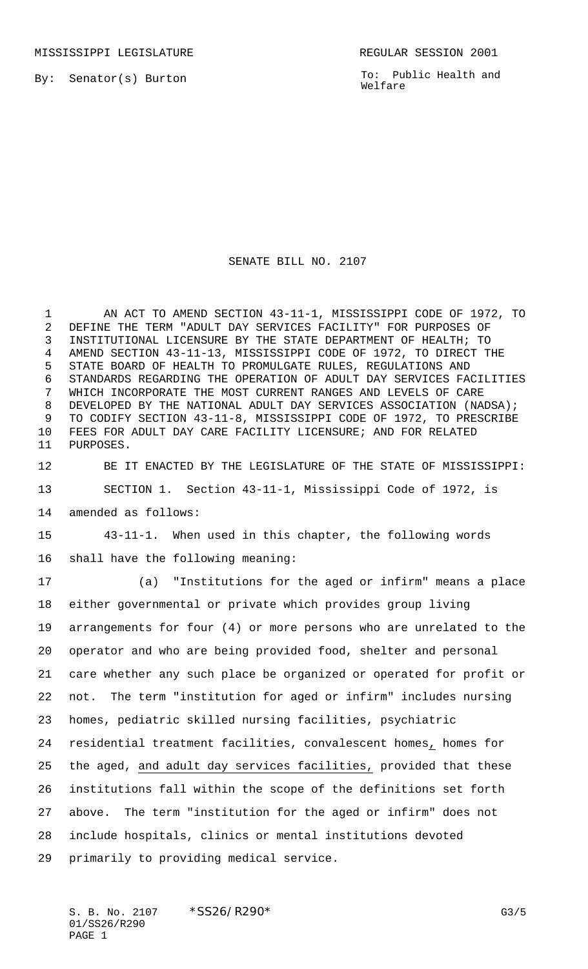By: Senator(s) Burton

To: Public Health and Welfare

## SENATE BILL NO. 2107

 AN ACT TO AMEND SECTION 43-11-1, MISSISSIPPI CODE OF 1972, TO DEFINE THE TERM "ADULT DAY SERVICES FACILITY" FOR PURPOSES OF INSTITUTIONAL LICENSURE BY THE STATE DEPARTMENT OF HEALTH; TO AMEND SECTION 43-11-13, MISSISSIPPI CODE OF 1972, TO DIRECT THE STATE BOARD OF HEALTH TO PROMULGATE RULES, REGULATIONS AND STANDARDS REGARDING THE OPERATION OF ADULT DAY SERVICES FACILITIES WHICH INCORPORATE THE MOST CURRENT RANGES AND LEVELS OF CARE 8 DEVELOPED BY THE NATIONAL ADULT DAY SERVICES ASSOCIATION (NADSA); TO CODIFY SECTION 43-11-8, MISSISSIPPI CODE OF 1972, TO PRESCRIBE FEES FOR ADULT DAY CARE FACILITY LICENSURE; AND FOR RELATED PURPOSES.

 BE IT ENACTED BY THE LEGISLATURE OF THE STATE OF MISSISSIPPI: SECTION 1. Section 43-11-1, Mississippi Code of 1972, is

amended as follows:

 43-11-1. When used in this chapter, the following words shall have the following meaning:

 (a) "Institutions for the aged or infirm" means a place either governmental or private which provides group living arrangements for four (4) or more persons who are unrelated to the operator and who are being provided food, shelter and personal care whether any such place be organized or operated for profit or not. The term "institution for aged or infirm" includes nursing homes, pediatric skilled nursing facilities, psychiatric residential treatment facilities, convalescent homes, homes for the aged, and adult day services facilities, provided that these institutions fall within the scope of the definitions set forth above. The term "institution for the aged or infirm" does not include hospitals, clinics or mental institutions devoted primarily to providing medical service.

S. B. No. 2107 \* SS26/R290\* G3/5 01/SS26/R290 PAGE 1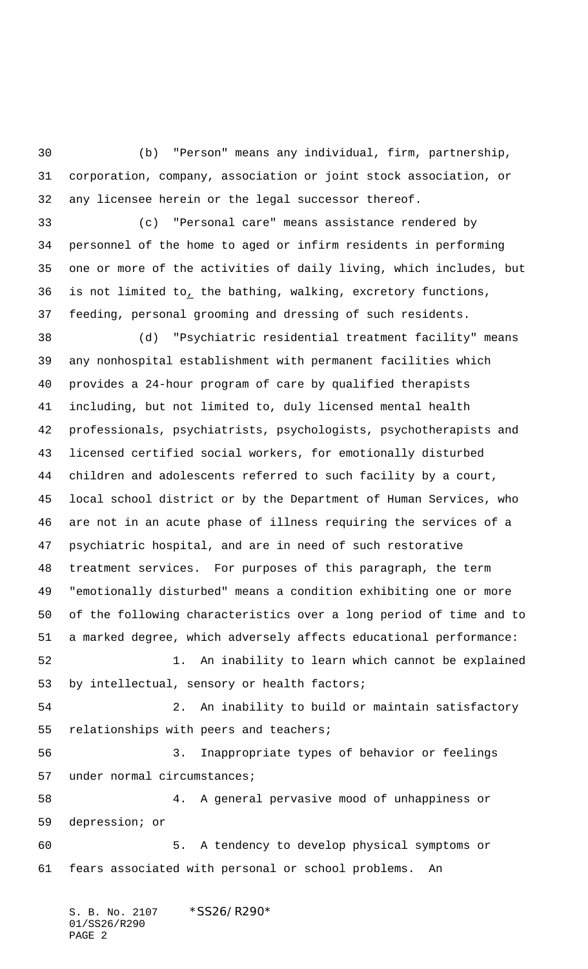(b) "Person" means any individual, firm, partnership, corporation, company, association or joint stock association, or any licensee herein or the legal successor thereof.

 (c) "Personal care" means assistance rendered by personnel of the home to aged or infirm residents in performing one or more of the activities of daily living, which includes, but is not limited to, the bathing, walking, excretory functions, feeding, personal grooming and dressing of such residents.

 (d) "Psychiatric residential treatment facility" means any nonhospital establishment with permanent facilities which provides a 24-hour program of care by qualified therapists including, but not limited to, duly licensed mental health professionals, psychiatrists, psychologists, psychotherapists and licensed certified social workers, for emotionally disturbed children and adolescents referred to such facility by a court, local school district or by the Department of Human Services, who are not in an acute phase of illness requiring the services of a psychiatric hospital, and are in need of such restorative treatment services. For purposes of this paragraph, the term "emotionally disturbed" means a condition exhibiting one or more of the following characteristics over a long period of time and to a marked degree, which adversely affects educational performance:

 1. An inability to learn which cannot be explained by intellectual, sensory or health factors;

 2. An inability to build or maintain satisfactory relationships with peers and teachers;

 3. Inappropriate types of behavior or feelings under normal circumstances;

 4. A general pervasive mood of unhappiness or depression; or

 5. A tendency to develop physical symptoms or fears associated with personal or school problems. An

S. B. No. 2107 \*SS26/R290\* 01/SS26/R290 PAGE 2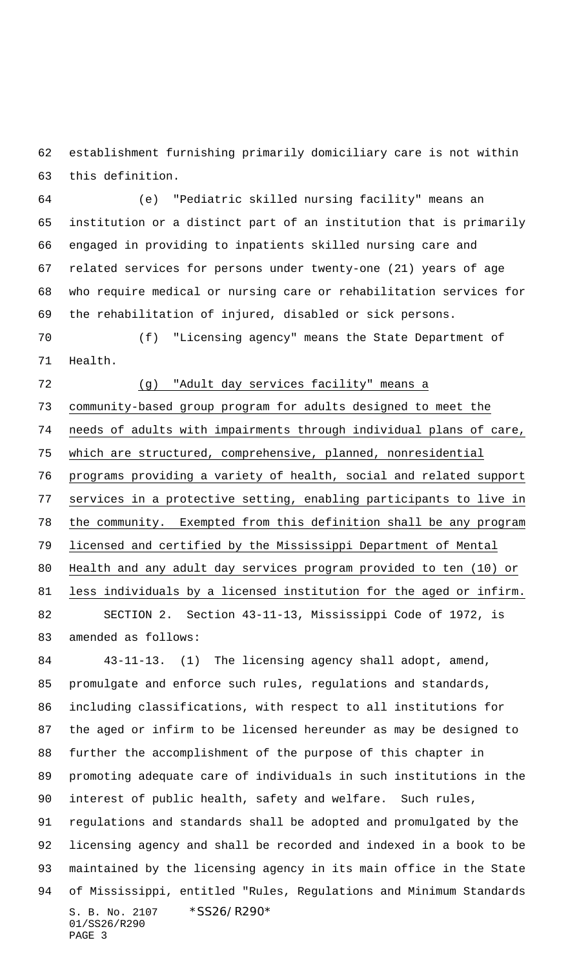establishment furnishing primarily domiciliary care is not within this definition.

 (e) "Pediatric skilled nursing facility" means an institution or a distinct part of an institution that is primarily engaged in providing to inpatients skilled nursing care and related services for persons under twenty-one (21) years of age who require medical or nursing care or rehabilitation services for the rehabilitation of injured, disabled or sick persons.

 (f) "Licensing agency" means the State Department of Health.

## (g) "Adult day services facility" means a

 community-based group program for adults designed to meet the needs of adults with impairments through individual plans of care, which are structured, comprehensive, planned, nonresidential programs providing a variety of health, social and related support services in a protective setting, enabling participants to live in the community. Exempted from this definition shall be any program licensed and certified by the Mississippi Department of Mental Health and any adult day services program provided to ten (10) or less individuals by a licensed institution for the aged or infirm. SECTION 2. Section 43-11-13, Mississippi Code of 1972, is amended as follows:

S. B. No. 2107 \* SS26/R290\* 01/SS26/R290 PAGE 3 43-11-13. (1) The licensing agency shall adopt, amend, promulgate and enforce such rules, regulations and standards, including classifications, with respect to all institutions for the aged or infirm to be licensed hereunder as may be designed to further the accomplishment of the purpose of this chapter in promoting adequate care of individuals in such institutions in the interest of public health, safety and welfare. Such rules, regulations and standards shall be adopted and promulgated by the licensing agency and shall be recorded and indexed in a book to be maintained by the licensing agency in its main office in the State of Mississippi, entitled "Rules, Regulations and Minimum Standards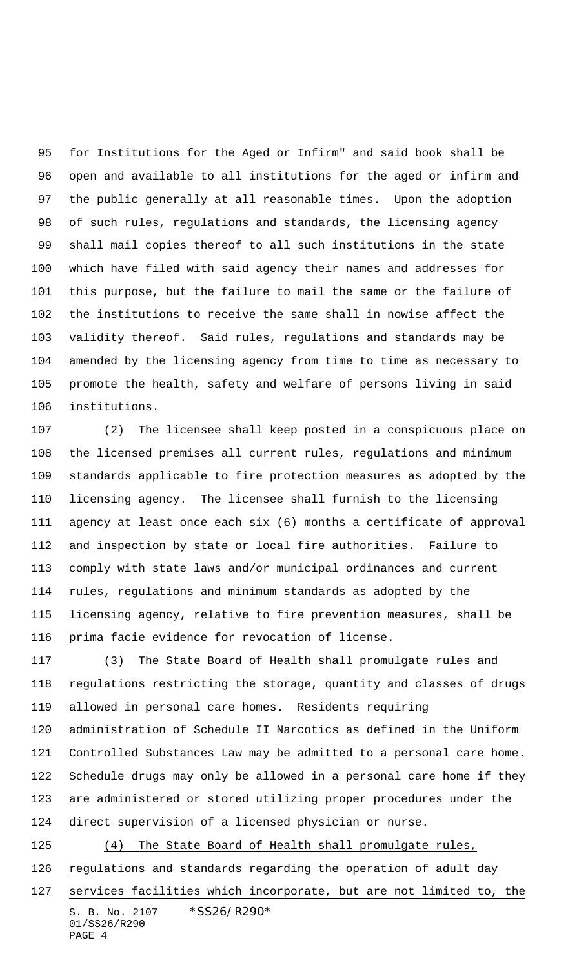for Institutions for the Aged or Infirm" and said book shall be open and available to all institutions for the aged or infirm and the public generally at all reasonable times. Upon the adoption of such rules, regulations and standards, the licensing agency shall mail copies thereof to all such institutions in the state which have filed with said agency their names and addresses for this purpose, but the failure to mail the same or the failure of the institutions to receive the same shall in nowise affect the validity thereof. Said rules, regulations and standards may be amended by the licensing agency from time to time as necessary to promote the health, safety and welfare of persons living in said institutions.

 (2) The licensee shall keep posted in a conspicuous place on the licensed premises all current rules, regulations and minimum standards applicable to fire protection measures as adopted by the licensing agency. The licensee shall furnish to the licensing agency at least once each six (6) months a certificate of approval and inspection by state or local fire authorities. Failure to comply with state laws and/or municipal ordinances and current rules, regulations and minimum standards as adopted by the licensing agency, relative to fire prevention measures, shall be prima facie evidence for revocation of license.

 (3) The State Board of Health shall promulgate rules and regulations restricting the storage, quantity and classes of drugs allowed in personal care homes. Residents requiring administration of Schedule II Narcotics as defined in the Uniform Controlled Substances Law may be admitted to a personal care home. Schedule drugs may only be allowed in a personal care home if they are administered or stored utilizing proper procedures under the direct supervision of a licensed physician or nurse. (4) The State Board of Health shall promulgate rules,

126 regulations and standards regarding the operation of adult day

S. B. No. 2107 \* SS26/R290\* 01/SS26/R290 services facilities which incorporate, but are not limited to, the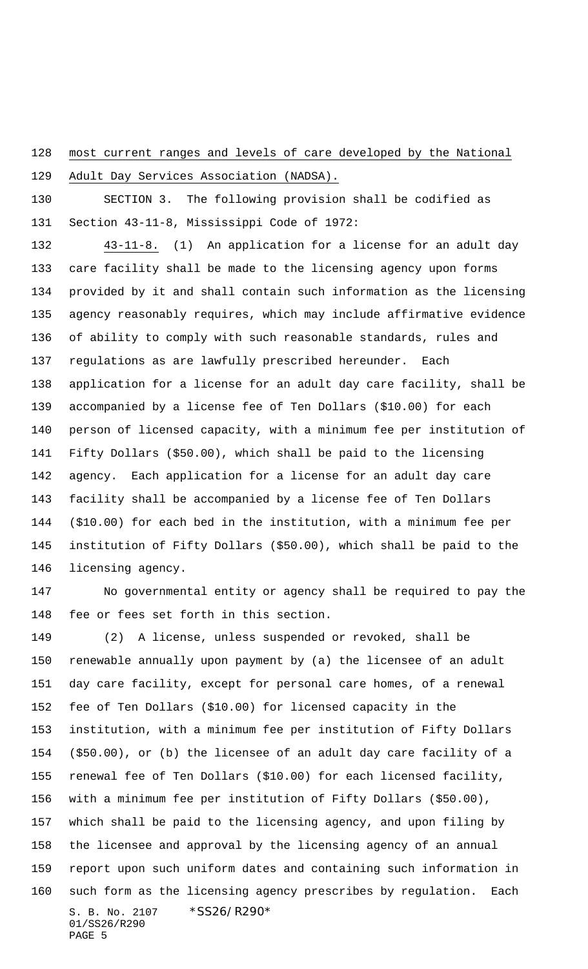most current ranges and levels of care developed by the National

Adult Day Services Association (NADSA).

 SECTION 3. The following provision shall be codified as Section 43-11-8, Mississippi Code of 1972:

 43-11-8. (1) An application for a license for an adult day care facility shall be made to the licensing agency upon forms provided by it and shall contain such information as the licensing agency reasonably requires, which may include affirmative evidence of ability to comply with such reasonable standards, rules and regulations as are lawfully prescribed hereunder. Each application for a license for an adult day care facility, shall be accompanied by a license fee of Ten Dollars (\$10.00) for each person of licensed capacity, with a minimum fee per institution of Fifty Dollars (\$50.00), which shall be paid to the licensing agency. Each application for a license for an adult day care facility shall be accompanied by a license fee of Ten Dollars (\$10.00) for each bed in the institution, with a minimum fee per institution of Fifty Dollars (\$50.00), which shall be paid to the licensing agency.

 No governmental entity or agency shall be required to pay the fee or fees set forth in this section.

S. B. No. 2107 \*SS26/R290\* 01/SS26/R290 (2) A license, unless suspended or revoked, shall be renewable annually upon payment by (a) the licensee of an adult day care facility, except for personal care homes, of a renewal fee of Ten Dollars (\$10.00) for licensed capacity in the institution, with a minimum fee per institution of Fifty Dollars (\$50.00), or (b) the licensee of an adult day care facility of a renewal fee of Ten Dollars (\$10.00) for each licensed facility, with a minimum fee per institution of Fifty Dollars (\$50.00), which shall be paid to the licensing agency, and upon filing by the licensee and approval by the licensing agency of an annual report upon such uniform dates and containing such information in such form as the licensing agency prescribes by regulation. Each

```
PAGE 5
```